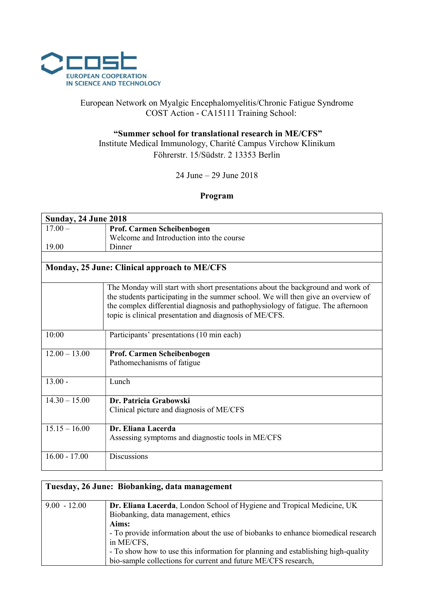

# European Network on Myalgic Encephalomyelitis/Chronic Fatigue Syndrome COST Action - CA15111 Training School:

# "Summer school for translational research in ME/CFS" Institute Medical Immunology, Charité Campus Virchow Klinikum Föhrerstr. 15/Südstr. 2 13353 Berlin

### 24 June – 29 June 2018

#### Program

| <b>Sunday, 24 June 2018</b>                  |                                                                                                                                                                                                                                                                                                                     |  |
|----------------------------------------------|---------------------------------------------------------------------------------------------------------------------------------------------------------------------------------------------------------------------------------------------------------------------------------------------------------------------|--|
| $17.00 -$                                    | Prof. Carmen Scheibenbogen                                                                                                                                                                                                                                                                                          |  |
|                                              | Welcome and Introduction into the course                                                                                                                                                                                                                                                                            |  |
| 19.00                                        | Dinner                                                                                                                                                                                                                                                                                                              |  |
|                                              |                                                                                                                                                                                                                                                                                                                     |  |
| Monday, 25 June: Clinical approach to ME/CFS |                                                                                                                                                                                                                                                                                                                     |  |
|                                              | The Monday will start with short presentations about the background and work of<br>the students participating in the summer school. We will then give an overview of<br>the complex differential diagnosis and pathophysiology of fatigue. The afternoon<br>topic is clinical presentation and diagnosis of ME/CFS. |  |
| 10:00                                        | Participants' presentations (10 min each)                                                                                                                                                                                                                                                                           |  |
| $12.00 - 13.00$                              | Prof. Carmen Scheibenbogen                                                                                                                                                                                                                                                                                          |  |
|                                              | Pathomechanisms of fatigue                                                                                                                                                                                                                                                                                          |  |
| $13.00 -$                                    | Lunch                                                                                                                                                                                                                                                                                                               |  |
| $14.30 - 15.00$                              | Dr. Patricia Grabowski<br>Clinical picture and diagnosis of ME/CFS                                                                                                                                                                                                                                                  |  |
| $15.15 - 16.00$                              | Dr. Eliana Lacerda<br>Assessing symptoms and diagnostic tools in ME/CFS                                                                                                                                                                                                                                             |  |
| $16.00 - 17.00$                              | <b>Discussions</b>                                                                                                                                                                                                                                                                                                  |  |

| Tuesday, 26 June: Biobanking, data management |                                                                                   |
|-----------------------------------------------|-----------------------------------------------------------------------------------|
| $9.00 - 12.00$                                | Dr. Eliana Lacerda, London School of Hygiene and Tropical Medicine, UK            |
|                                               | Biobanking, data management, ethics                                               |
|                                               | Aims:                                                                             |
|                                               | - To provide information about the use of biobanks to enhance biomedical research |
|                                               | in ME/CFS,                                                                        |
|                                               | - To show how to use this information for planning and establishing high-quality  |
|                                               | bio-sample collections for current and future ME/CFS research,                    |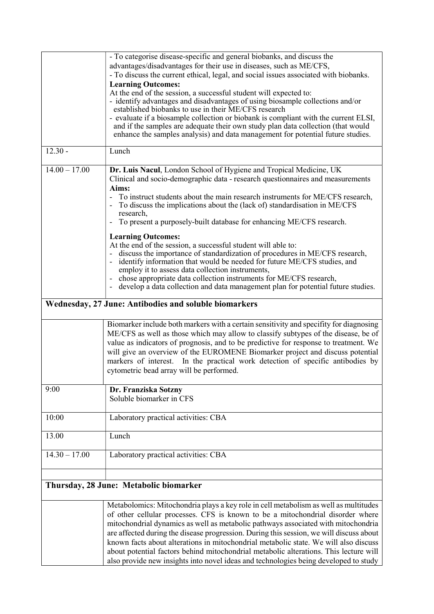|                                        | - To categorise disease-specific and general biobanks, and discuss the<br>advantages/disadvantages for their use in diseases, such as ME/CFS,<br>- To discuss the current ethical, legal, and social issues associated with biobanks.<br><b>Learning Outcomes:</b><br>At the end of the session, a successful student will expected to:<br>- identify advantages and disadvantages of using biosample collections and/or<br>established biobanks to use in their ME/CFS research<br>- evaluate if a biosample collection or biobank is compliant with the current ELSI, |  |
|----------------------------------------|-------------------------------------------------------------------------------------------------------------------------------------------------------------------------------------------------------------------------------------------------------------------------------------------------------------------------------------------------------------------------------------------------------------------------------------------------------------------------------------------------------------------------------------------------------------------------|--|
|                                        | and if the samples are adequate their own study plan data collection (that would<br>enhance the samples analysis) and data management for potential future studies.                                                                                                                                                                                                                                                                                                                                                                                                     |  |
| $12.30 -$                              | Lunch                                                                                                                                                                                                                                                                                                                                                                                                                                                                                                                                                                   |  |
| $14.00 - 17.00$                        | Dr. Luis Nacul, London School of Hygiene and Tropical Medicine, UK<br>Clinical and socio-demographic data - research questionnaires and measurements<br>Aims:<br>To instruct students about the main research instruments for ME/CFS research,<br>$\blacksquare$<br>To discuss the implications about the (lack of) standardisation in ME/CFS<br>research,<br>To present a purposely-built database for enhancing ME/CFS research.<br><b>Learning Outcomes:</b>                                                                                                         |  |
|                                        | At the end of the session, a successful student will able to:<br>discuss the importance of standardization of procedures in ME/CFS research,<br>$\qquad \qquad \blacksquare$<br>identify information that would be needed for future ME/CFS studies, and<br>$\qquad \qquad \blacksquare$<br>employ it to assess data collection instruments,<br>chose appropriate data collection instruments for ME/CFS research,<br>develop a data collection and data management plan for potential future studies.                                                                  |  |
|                                        | Wednesday, 27 June: Antibodies and soluble biomarkers                                                                                                                                                                                                                                                                                                                                                                                                                                                                                                                   |  |
|                                        | Biomarker include both markers with a certain sensitivity and specifity for diagnosing<br>ME/CFS as well as those which may allow to classify subtypes of the disease, be of<br>value as indicators of prognosis, and to be predictive for response to treatment. We<br>will give an overview of the EUROMENE Biomarker project and discuss potential<br>markers of interest. In the practical work detection of specific antibodies by<br>cytometric bead array will be performed.                                                                                     |  |
| 9:00                                   | Dr. Franziska Sotzny<br>Soluble biomarker in CFS                                                                                                                                                                                                                                                                                                                                                                                                                                                                                                                        |  |
| 10:00                                  | Laboratory practical activities: CBA                                                                                                                                                                                                                                                                                                                                                                                                                                                                                                                                    |  |
| 13.00                                  | Lunch                                                                                                                                                                                                                                                                                                                                                                                                                                                                                                                                                                   |  |
| $14.30 - 17.00$                        | Laboratory practical activities: CBA                                                                                                                                                                                                                                                                                                                                                                                                                                                                                                                                    |  |
| Thursday, 28 June: Metabolic biomarker |                                                                                                                                                                                                                                                                                                                                                                                                                                                                                                                                                                         |  |
|                                        | Metabolomics: Mitochondria plays a key role in cell metabolism as well as multitudes<br>of other cellular processes. CFS is known to be a mitochondrial disorder where<br>mitochondrial dynamics as well as metabolic pathways associated with mitochondria<br>are affected during the disease progression. During this session, we will discuss about                                                                                                                                                                                                                  |  |

are affected during the disease progression. During this session, we will discuss about known facts about alterations in mitochondrial metabolic state. We will also discuss about potential factors behind mitochondrial metabolic alterations. This lecture will also provide new insights into novel ideas and technologies being developed to study